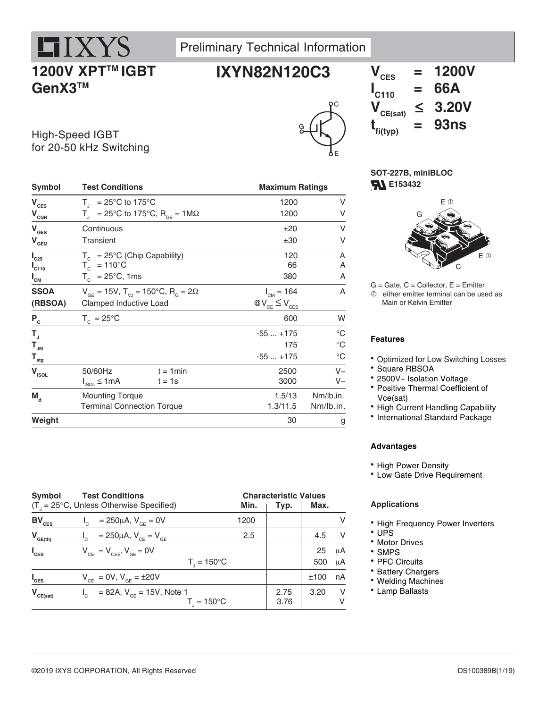# **1200V XPT™ IGBT GenX3TM**

**HIXYS** 





High-Speed IGBT for 20-50 kHz Switching

| Symbol                                  | <b>Test Conditions</b>                                               |                                                        | <b>Maximum Ratings</b> |             |  |
|-----------------------------------------|----------------------------------------------------------------------|--------------------------------------------------------|------------------------|-------------|--|
| $\mathbf{V}_{\mathrm{CES}}$             | $T_{\text{I}}$ = 25°C to 175°C                                       |                                                        | 1200                   | V           |  |
| $\mathbf{V}_{\texttt{CGR}}$             |                                                                      | $T_{1}$ = 25°C to 175°C, R <sub>GF</sub> = 1M $\Omega$ | 1200                   | V           |  |
| $\mathbf{V}_{\texttt{GES}}$             | Continuous                                                           |                                                        | ±20                    | V           |  |
| $\mathbf{V}_{\mathbf{GEM}}$             | <b>Transient</b>                                                     |                                                        | ±30                    | V           |  |
| $I_{C25}$                               | $T_c = 25^{\circ}$ C (Chip Capability)                               |                                                        | 120                    | Α           |  |
| $I_{C110}$                              | $T_c$ = 110°C                                                        |                                                        | 66                     | Α           |  |
| $I_{\text{cm}}$                         | $T_c$ = 25°C, 1ms                                                    |                                                        | 380                    | Α           |  |
| <b>SSOA</b>                             | $V_{GF}$ = 15V, T <sub>VJ</sub> = 150°C, R <sub>G</sub> = 2 $\Omega$ |                                                        | $I_{CM} = 164$         | A           |  |
| (RBSOA)                                 | Clamped Inductive Load                                               |                                                        | $@V_{CE} \leq V_{CES}$ |             |  |
| $\mathsf{P}_{\mathrm{c}}$               | $T_c = 25^{\circ}$ C                                                 |                                                        | 600                    | W           |  |
| $T_{\rm J}$                             |                                                                      |                                                        | $-55+175$              | $^{\circ}C$ |  |
| $\mathbf{T}_{_{\mathsf{J}\mathsf{M}}}$  |                                                                      |                                                        | 175                    | $^{\circ}C$ |  |
| $\mathbf{T}_{\underline{\mathsf{stg}}}$ |                                                                      |                                                        | $-55+175$              | $^{\circ}C$ |  |
| $\mathbf{V}_{\mathsf{ISOL}}$            | 50/60Hz                                                              | $t = 1$ min                                            | 2500                   | $V_{\sim}$  |  |
|                                         | $I_{ISOL} \leq 1mA$                                                  | $t = 1s$                                               | 3000                   | $V_{\sim}$  |  |
| $M_{\rm d}$                             | <b>Mounting Torque</b>                                               |                                                        | 1.5/13                 | Nm/lb.in.   |  |
|                                         | <b>Terminal Connection Torque</b>                                    |                                                        | 1.3/11.5               | Nm/lb.in.   |  |
| Weight                                  |                                                                      |                                                        | 30                     | g           |  |
|                                         |                                                                      |                                                        |                        |             |  |

| Symbol           | <b>Test Conditions</b>                                  |      |      | <b>Characteristic Values</b> |     |  |
|------------------|---------------------------------------------------------|------|------|------------------------------|-----|--|
|                  | $(T_{1} = 25^{\circ}C,$ Unless Otherwise Specified)     | Min. | Typ. | Max.                         |     |  |
| $BV_{CES}$       | $I_c = 250 \mu A$ , $V_{GE} = 0V$                       | 1200 |      |                              | v   |  |
| $V_{GE(th)}$     | = 250µA, $V_{CE} = V_{GE}$<br>$\mathsf{I}_{\mathsf{C}}$ | 2.5  |      | 4.5                          | - V |  |
| $I_{\text{CES}}$ | $V_{CF} = V_{CFS}$ , $V_{GF} = 0V$                      |      |      | 25                           | μA  |  |
|                  | $T_{1} = 150^{\circ}C$                                  |      |      | 500                          | μA  |  |
| $I_{\text{GES}}$ | $V_{CF} = 0V$ , $V_{GF} = \pm 20V$                      |      |      | ±100                         | nA  |  |
| $V_{CE(sat)}$    | $I_c = 82A, V_{cF} = 15V,$ Note 1                       |      | 2.75 | 3.20                         | -V  |  |
|                  | $T_{1} = 150^{\circ}C$                                  |      | 3.76 |                              | V   |  |

**SOT-227B, miniBLOC F153432** 



 $G =$  Gate,  $C =$  Collector,  $E =$  Emitter  $<sup>①</sup>$  either emitter terminal can be used as</sup> Main or Kelvin Emitter

### **Features**

Optimized for Low Switching Losses

- Square RBSOA
- 2500V~ Isolation Voltage
- Positive Thermal Coefficient of Vce(sat)
- High Current Handling Capability
- International Standard Package

### **Advantages**

- High Power Density
- Low Gate Drive Requirement

### **Applications**

- High Frequency Power Inverters
- UPS
- Motor Drives
- SMPS
- PFC Circuits
- Battery Chargers
- Welding Machines
- Lamp Ballasts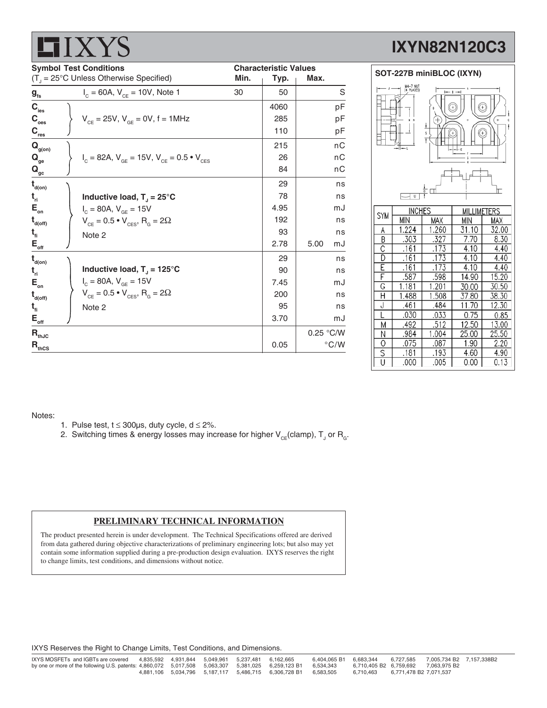|                                                            | $\Box$                                                            |      |                              |               |  |
|------------------------------------------------------------|-------------------------------------------------------------------|------|------------------------------|---------------|--|
| <b>Symbol Test Conditions</b>                              |                                                                   |      | <b>Characteristic Values</b> |               |  |
|                                                            | $(T_{\text{J}} = 25^{\circ} \text{C}$ Unless Otherwise Specified) | Min. | Typ.                         | Max.          |  |
| $\boldsymbol{\mathsf{g}}_{\scriptscriptstyle \mathsf{fs}}$ | $I_c = 60A$ , $V_{ce} = 10V$ , Note 1                             | 30   | 50                           | $\mathsf S$   |  |
| $\mathbf{C}_{\mathsf{ies}}$                                |                                                                   |      | 4060                         | рF            |  |
| $\mathsf{C}_\mathsf{oes}$                                  | $V_{CF} = 25V$ , $V_{GF} = 0V$ , f = 1MHz                         |      | 285                          | pF            |  |
| $\mathbf{C}_{_{\mathsf{res}}}$                             |                                                                   |      | 110                          | pF            |  |
| $\mathbf{Q}_{\mathsf{g}(\mathsf{on})}$                     |                                                                   |      | 215                          | nC            |  |
| $\mathbf{Q}_{_{\mathbf{ge}}}$                              | $I_c = 82A$ , $V_{GE} = 15V$ , $V_{CE} = 0.5 \cdot V_{CES}$       |      | 26                           | пC            |  |
| $\mathbf{Q}_{_{\mathbf{gc}}}$                              |                                                                   |      | 84                           | пC            |  |
| t<br>d(on)                                                 |                                                                   |      | 29                           | ns            |  |
| t <sub>ri</sub>                                            | Inductive load, $T_1 = 25^{\circ}C$                               |      | 78                           | ns            |  |
| $\mathsf{E}_{_\mathsf{on}}$                                | $I_c = 80A, V_{GE} = 15V$                                         |      | 4.95                         | mJ            |  |
| t<br>d(off)                                                | $V_{CE} = 0.5 \cdot V_{CES}$ , R <sub>G</sub> = 2 $\Omega$        |      | 192                          | ns            |  |
| t,                                                         | Note 2                                                            |      | 93                           | ns            |  |
| $\mathsf{E}_{_{\sf off}}$                                  |                                                                   |      | 2.78                         | 5.00<br>mJ    |  |
| t<br>d(on)                                                 |                                                                   |      | 29                           | ns            |  |
| t <sub>ri</sub>                                            | Inductive load, $T_{J}$ = 125°C                                   |      | 90                           | ns            |  |
| $\mathsf{E}_{_\mathsf{on}}$                                | $I_c = 80A, V_{GE} = 15V$                                         |      | 7.45                         | mJ            |  |
| t<br>d(off)                                                | $V_{CE} = 0.5 \cdot V_{CES}$ , R <sub>G</sub> = 2 $\Omega$        |      | 200                          | ns            |  |
| t,                                                         | Note 2                                                            |      | 95                           | ns            |  |
| $\mathsf{E}_{_{\sf off}}$                                  |                                                                   |      | 3.70                         | mJ            |  |
| $\mathsf{R}_{\textsf{thJC}}$                               |                                                                   |      |                              | 0.25 °C/W     |  |
| $\mathsf{R}_{\sf thCS}$                                    |                                                                   |      | 0.05                         | $\degree$ C/W |  |

### **IXYN82N120C3**



 $\overline{B}$ 303  $.327$  $7.70$  $8.30$  $\overline{C}$  $.161$  $.173$  $4.10$  $4.40$  $\overline{D}$  $.161$  $.173$  $4.10$  $4.40$ Έ  $.161$  $.173$  $4.10$ 4.40 Ē .587 .598 14.90 15.20  $\overline{\mathsf{G}}$  $1.181$  $1.201$  $30.00$ 30.50  $\overline{H}$ 1.488 1.508 37.80 38.30  $11.70$  $\overline{\mathsf{J}}$ 461  $.484$  $12.30$  $.030$ .033  $0.75$ τ  $0.85$  $.512$ 12.50 13.00  $\overline{M}$ .492  $\overline{N}$ .984 1.004 25.00 25.50  $.075$  $.087$ 1.90  $2.20$ O  $\overline{\mathsf{s}}$  $.181$ .193 4.60 4.90 U .000 .005  $0.00$  $0.13$ 

Notes:

 $\blacksquare$  I V V/C

- 1. Pulse test,  $t \le 300 \mu s$ , duty cycle,  $d \le 2\%$ .
- 2. Switching times & energy losses may increase for higher  $\mathsf{V}_{\mathsf{CE}}$ (clamp),  $\mathsf{T}_{\mathsf{J}}$  or  $\mathsf{R}_{\mathsf{G}}$ .

### **PRELIMINARY TECHNICAL INFORMATION**

The product presented herein is under development. The Technical Specifications offered are derived from data gathered during objective characterizations of preliminary engineering lots; but also may yet contain some information supplied during a pre-production design evaluation. IXYS reserves the right to change limits, test conditions, and dimensions without notice.

IXYS Reserves the Right to Change Limits, Test Conditions, and Dimensions.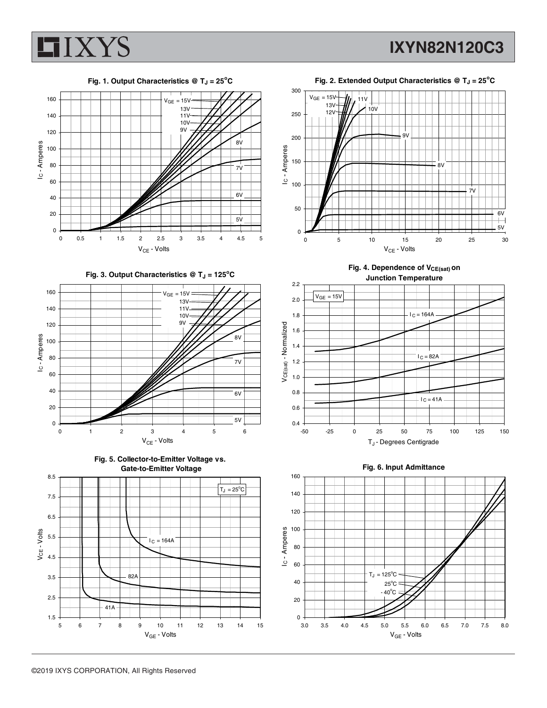

**IXYN82N120C3**













Fig. 4. Dependence of V<sub>CE(sat)</sub> on



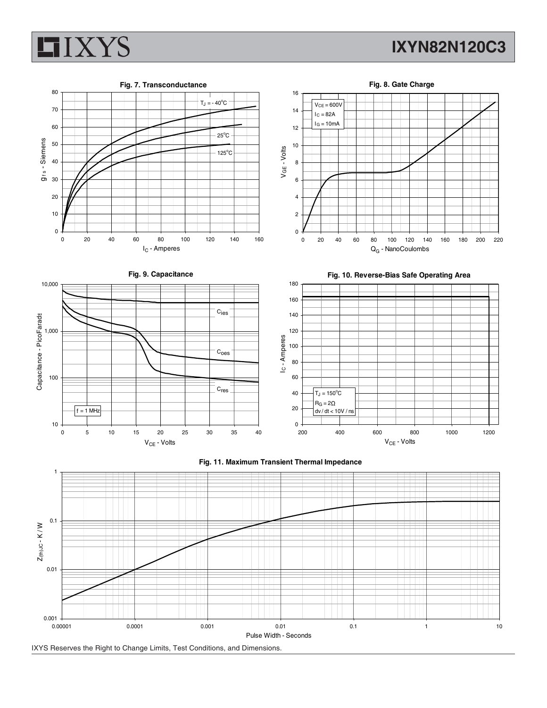

## **IXYN82N120C3**



IXYS Reserves the Right to Change Limits, Test Conditions, and Dimensions.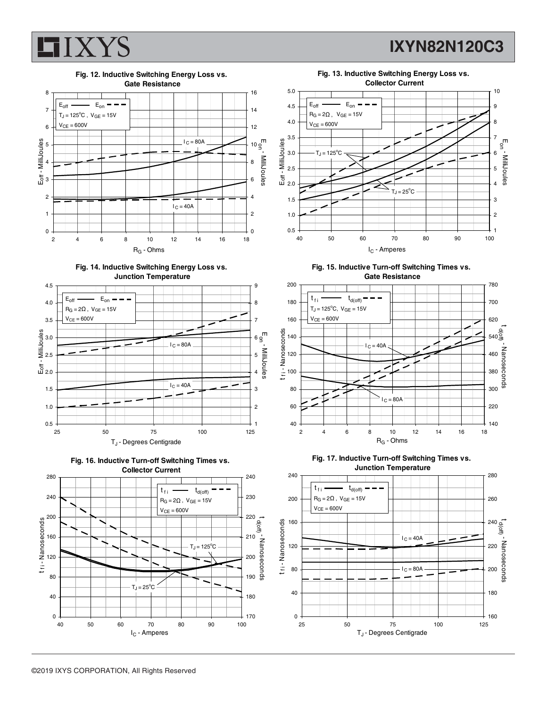

**IXYN82N120C3**



**Fig. 14. Inductive Switching Energy Loss vs. Junction Temperature**









**Fig. 15. Inductive Turn-off Switching Times vs. Gate Resistance**





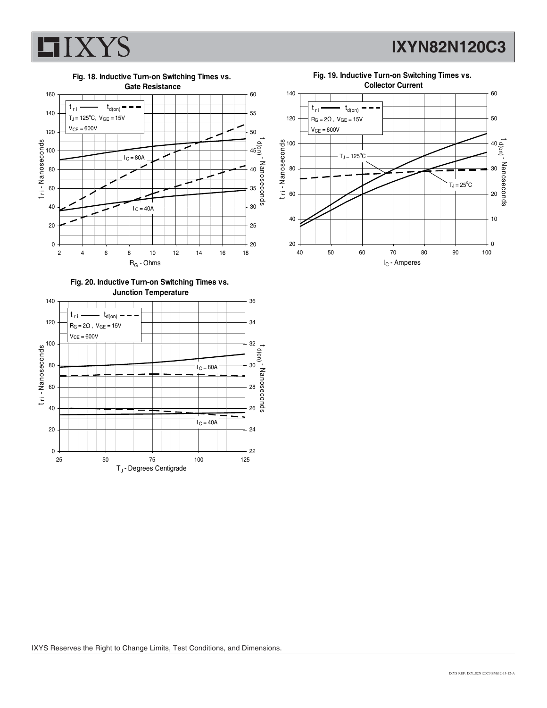

**IXYN82N120C3**

**Fig. 18. Inductive Turn-on Switching Times vs.**



**Fig. 20. Inductive Turn-on Switching Times vs. Junction Temperature**